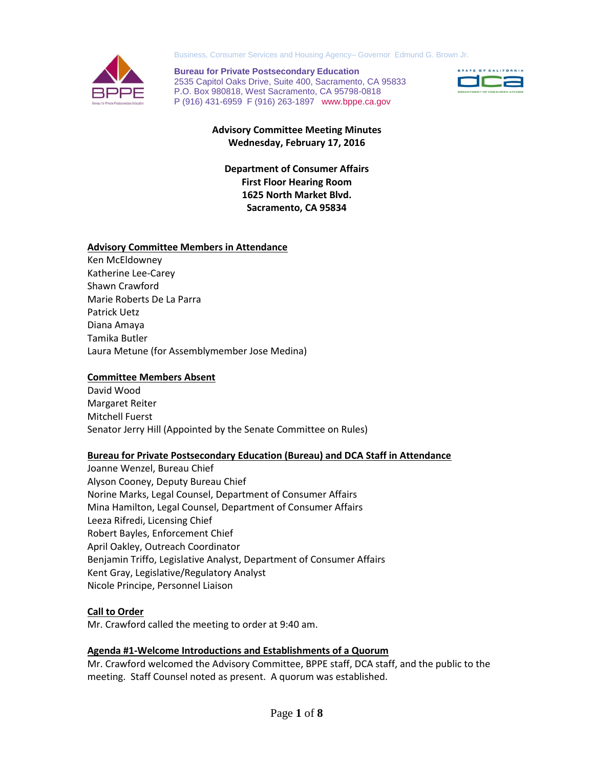

Business, Consumer Services and Housing Agency– Governor Edmund G. Brown Jr.

 P (916) 431-6959 F (916) 263-1897 www.bppe.ca.gov **Bureau for Private Postsecondary Education**  2535 Capitol Oaks Drive, Suite 400, Sacramento, CA 95833 P.O. Box 980818, West Sacramento, CA 95798-0818



# **Wednesday, February 17, 2016 Advisory Committee Meeting Minutes**

**Department of Consumer Affairs First Floor Hearing Room 1625 North Market Blvd. Sacramento, CA 95834** 

### **Advisory Committee Members in Attendance**

Ken McEldowney Katherine Lee-Carey Shawn Crawford Marie Roberts De La Parra Patrick Uetz Diana Amaya Tamika Butler Laura Metune (for Assemblymember Jose Medina)

### **Committee Members Absent**

 David Wood Senator Jerry Hill (Appointed by the Senate Committee on Rules) Margaret Reiter Mitchell Fuerst

#### **Bureau for Private Postsecondary Education (Bureau) and DCA Staff in Attendance**

 Nicole Principe, Personnel Liaison Joanne Wenzel, Bureau Chief Alyson Cooney, Deputy Bureau Chief Norine Marks, Legal Counsel, Department of Consumer Affairs Mina Hamilton, Legal Counsel, Department of Consumer Affairs Leeza Rifredi, Licensing Chief Robert Bayles, Enforcement Chief April Oakley, Outreach Coordinator Benjamin Triffo, Legislative Analyst, Department of Consumer Affairs Kent Gray, Legislative/Regulatory Analyst

#### **Call to Order**

Mr. Crawford called the meeting to order at 9:40 am.

## **Agenda #1-Welcome Introductions and Establishments of a Quorum**

 Mr. Crawford welcomed the Advisory Committee, BPPE staff, DCA staff, and the public to the meeting. Staff Counsel noted as present. A quorum was established.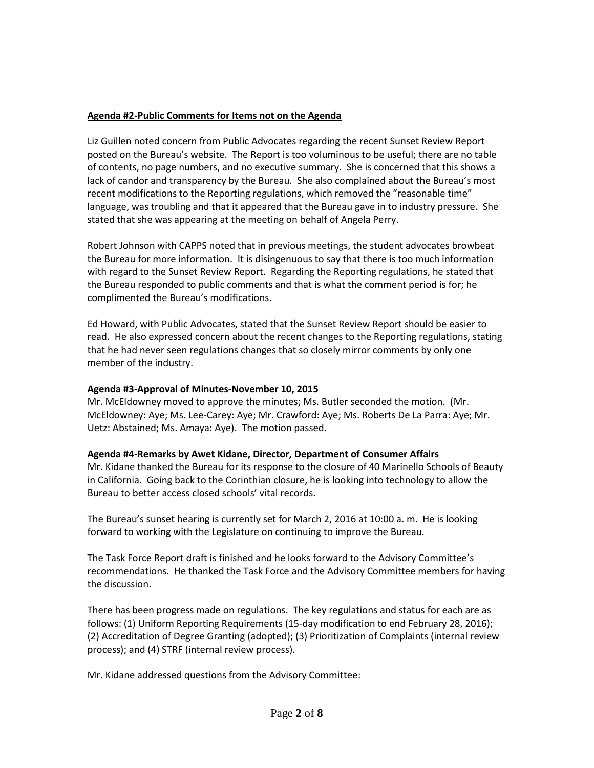### **Agenda #2-Public Comments for Items not on the Agenda**

 of contents, no page numbers, and no executive summary. She is concerned that this shows a Liz Guillen noted concern from Public Advocates regarding the recent Sunset Review Report posted on the Bureau's website. The Report is too voluminous to be useful; there are no table lack of candor and transparency by the Bureau. She also complained about the Bureau's most recent modifications to the Reporting regulations, which removed the "reasonable time" language, was troubling and that it appeared that the Bureau gave in to industry pressure. She stated that she was appearing at the meeting on behalf of Angela Perry.

Robert Johnson with CAPPS noted that in previous meetings, the student advocates browbeat the Bureau for more information. It is disingenuous to say that there is too much information with regard to the Sunset Review Report. Regarding the Reporting regulations, he stated that the Bureau responded to public comments and that is what the comment period is for; he complimented the Bureau's modifications.

Ed Howard, with Public Advocates, stated that the Sunset Review Report should be easier to read. He also expressed concern about the recent changes to the Reporting regulations, stating that he had never seen regulations changes that so closely mirror comments by only one member of the industry.

## **Agenda #3-Approval of Minutes-November 10, 2015**

 McEldowney: Aye; Ms. Lee-Carey: Aye; Mr. Crawford: Aye; Ms. Roberts De La Parra: Aye; Mr. Mr. McEldowney moved to approve the minutes; Ms. Butler seconded the motion. (Mr. Uetz: Abstained; Ms. Amaya: Aye). The motion passed.

#### **Agenda #4-Remarks by Awet Kidane, Director, Department of Consumer Affairs**

 in California. Going back to the Corinthian closure, he is looking into technology to allow the Mr. Kidane thanked the Bureau for its response to the closure of 40 Marinello Schools of Beauty Bureau to better access closed schools' vital records.

 forward to working with the Legislature on continuing to improve the Bureau. The Bureau's sunset hearing is currently set for March 2, 2016 at 10:00 a. m. He is looking

The Task Force Report draft is finished and he looks forward to the Advisory Committee's recommendations. He thanked the Task Force and the Advisory Committee members for having the discussion.

 There has been progress made on regulations. The key regulations and status for each are as follows: (1) Uniform Reporting Requirements (15-day modification to end February 28, 2016); (2) Accreditation of Degree Granting (adopted); (3) Prioritization of Complaints (internal review process); and (4) STRF (internal review process).

Mr. Kidane addressed questions from the Advisory Committee: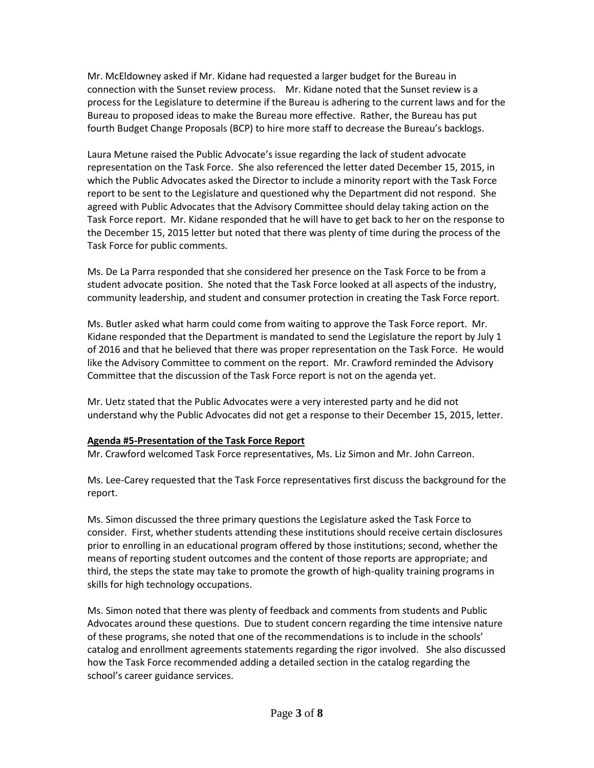connection with the Sunset review process. Mr. Kidane noted that the Sunset review is a Mr. McEldowney asked if Mr. Kidane had requested a larger budget for the Bureau in process for the Legislature to determine if the Bureau is adhering to the current laws and for the Bureau to proposed ideas to make the Bureau more effective. Rather, the Bureau has put fourth Budget Change Proposals (BCP) to hire more staff to decrease the Bureau's backlogs.

 representation on the Task Force. She also referenced the letter dated December 15, 2015, in agreed with Public Advocates that the Advisory Committee should delay taking action on the Laura Metune raised the Public Advocate's issue regarding the lack of student advocate which the Public Advocates asked the Director to include a minority report with the Task Force report to be sent to the Legislature and questioned why the Department did not respond. She Task Force report. Mr. Kidane responded that he will have to get back to her on the response to the December 15, 2015 letter but noted that there was plenty of time during the process of the Task Force for public comments.

Ms. De La Parra responded that she considered her presence on the Task Force to be from a student advocate position. She noted that the Task Force looked at all aspects of the industry, community leadership, and student and consumer protection in creating the Task Force report.

 Ms. Butler asked what harm could come from waiting to approve the Task Force report. Mr. Kidane responded that the Department is mandated to send the Legislature the report by July 1 of 2016 and that he believed that there was proper representation on the Task Force. He would like the Advisory Committee to comment on the report. Mr. Crawford reminded the Advisory Committee that the discussion of the Task Force report is not on the agenda yet.

Mr. Uetz stated that the Public Advocates were a very interested party and he did not understand why the Public Advocates did not get a response to their December 15, 2015, letter.

## **Agenda #5-Presentation of the Task Force Report**

Mr. Crawford welcomed Task Force representatives, Ms. Liz Simon and Mr. John Carreon.

Ms. Lee-Carey requested that the Task Force representatives first discuss the background for the report.

 third, the steps the state may take to promote the growth of high-quality training programs in Ms. Simon discussed the three primary questions the Legislature asked the Task Force to consider. First, whether students attending these institutions should receive certain disclosures prior to enrolling in an educational program offered by those institutions; second, whether the means of reporting student outcomes and the content of those reports are appropriate; and skills for high technology occupations.

 Advocates around these questions. Due to student concern regarding the time intensive nature catalog and enrollment agreements statements regarding the rigor involved. She also discussed Ms. Simon noted that there was plenty of feedback and comments from students and Public of these programs, she noted that one of the recommendations is to include in the schools' how the Task Force recommended adding a detailed section in the catalog regarding the school's career guidance services.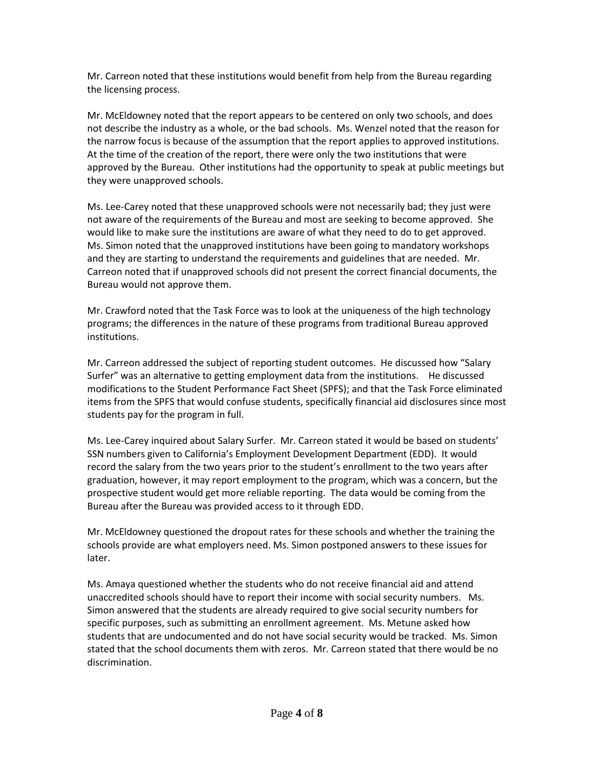Mr. Carreon noted that these institutions would benefit from help from the Bureau regarding the licensing process.

 Mr. McEldowney noted that the report appears to be centered on only two schools, and does not describe the industry as a whole, or the bad schools. Ms. Wenzel noted that the reason for the narrow focus is because of the assumption that the report applies to approved institutions. At the time of the creation of the report, there were only the two institutions that were approved by the Bureau. Other institutions had the opportunity to speak at public meetings but they were unapproved schools.

 not aware of the requirements of the Bureau and most are seeking to become approved. She would like to make sure the institutions are aware of what they need to do to get approved. and they are starting to understand the requirements and guidelines that are needed. Mr. Ms. Lee-Carey noted that these unapproved schools were not necessarily bad; they just were Ms. Simon noted that the unapproved institutions have been going to mandatory workshops Carreon noted that if unapproved schools did not present the correct financial documents, the Bureau would not approve them.

 Mr. Crawford noted that the Task Force was to look at the uniqueness of the high technology programs; the differences in the nature of these programs from traditional Bureau approved institutions.

Surfer" was an alternative to getting employment data from the institutions. He discussed modifications to the Student Performance Fact Sheet (SPFS); and that the Task Force eliminated Mr. Carreon addressed the subject of reporting student outcomes. He discussed how "Salary items from the SPFS that would confuse students, specifically financial aid disclosures since most students pay for the program in full.

Ms. Lee-Carey inquired about Salary Surfer. Mr. Carreon stated it would be based on students' prospective student would get more reliable reporting. The data would be coming from the SSN numbers given to California's Employment Development Department (EDD). It would record the salary from the two years prior to the student's enrollment to the two years after graduation, however, it may report employment to the program, which was a concern, but the Bureau after the Bureau was provided access to it through EDD.

Mr. McEldowney questioned the dropout rates for these schools and whether the training the schools provide are what employers need. Ms. Simon postponed answers to these issues for later.

 unaccredited schools should have to report their income with social security numbers. Ms. Ms. Amaya questioned whether the students who do not receive financial aid and attend Simon answered that the students are already required to give social security numbers for specific purposes, such as submitting an enrollment agreement. Ms. Metune asked how students that are undocumented and do not have social security would be tracked. Ms. Simon stated that the school documents them with zeros. Mr. Carreon stated that there would be no discrimination.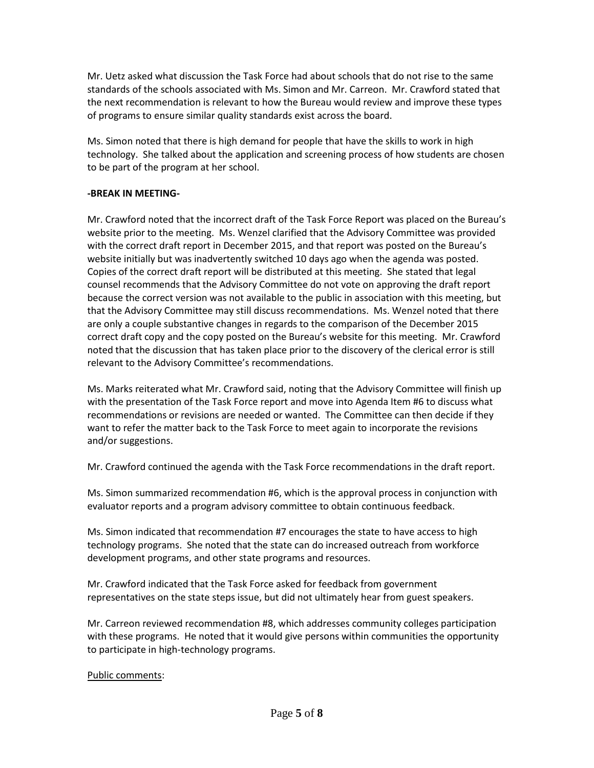Mr. Uetz asked what discussion the Task Force had about schools that do not rise to the same standards of the schools associated with Ms. Simon and Mr. Carreon. Mr. Crawford stated that the next recommendation is relevant to how the Bureau would review and improve these types of programs to ensure similar quality standards exist across the board.

 Ms. Simon noted that there is high demand for people that have the skills to work in high to be part of the program at her school. technology. She talked about the application and screening process of how students are chosen

## **-BREAK IN MEETING-**

website initially but was inadvertently switched 10 days ago when the agenda was posted. counsel recommends that the Advisory Committee do not vote on approving the draft report Mr. Crawford noted that the incorrect draft of the Task Force Report was placed on the Bureau's website prior to the meeting. Ms. Wenzel clarified that the Advisory Committee was provided with the correct draft report in December 2015, and that report was posted on the Bureau's Copies of the correct draft report will be distributed at this meeting. She stated that legal because the correct version was not available to the public in association with this meeting, but that the Advisory Committee may still discuss recommendations. Ms. Wenzel noted that there are only a couple substantive changes in regards to the comparison of the December 2015 correct draft copy and the copy posted on the Bureau's website for this meeting. Mr. Crawford noted that the discussion that has taken place prior to the discovery of the clerical error is still relevant to the Advisory Committee's recommendations.

 with the presentation of the Task Force report and move into Agenda Item #6 to discuss what recommendations or revisions are needed or wanted. The Committee can then decide if they Ms. Marks reiterated what Mr. Crawford said, noting that the Advisory Committee will finish up want to refer the matter back to the Task Force to meet again to incorporate the revisions and/or suggestions.

Mr. Crawford continued the agenda with the Task Force recommendations in the draft report.

 Ms. Simon summarized recommendation #6, which is the approval process in conjunction with evaluator reports and a program advisory committee to obtain continuous feedback.

 technology programs. She noted that the state can do increased outreach from workforce Ms. Simon indicated that recommendation #7 encourages the state to have access to high development programs, and other state programs and resources.

Mr. Crawford indicated that the Task Force asked for feedback from government representatives on the state steps issue, but did not ultimately hear from guest speakers.

Mr. Carreon reviewed recommendation #8, which addresses community colleges participation with these programs. He noted that it would give persons within communities the opportunity to participate in high-technology programs.

## Public comments: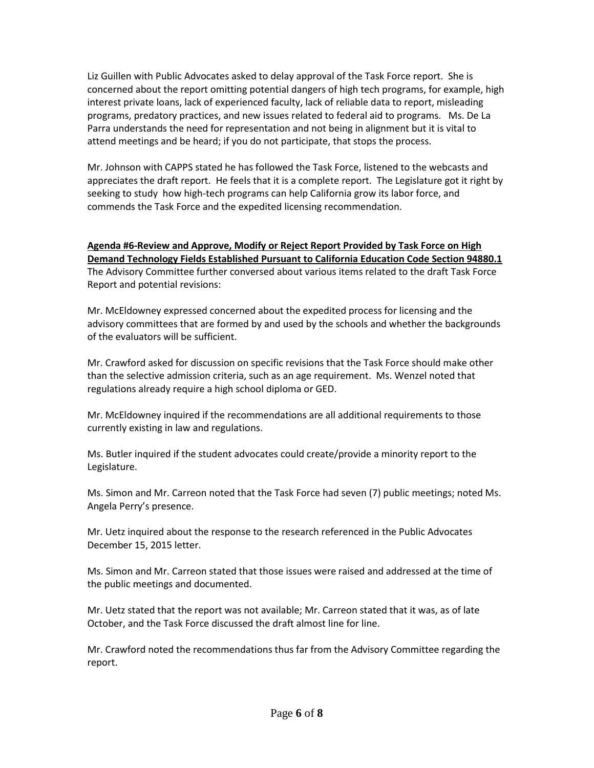interest private loans, lack of experienced faculty, lack of reliable data to report, misleading programs, predatory practices, and new issues related to federal aid to programs. Ms. De La Liz Guillen with Public Advocates asked to delay approval of the Task Force report. She is concerned about the report omitting potential dangers of high tech programs, for example, high Parra understands the need for representation and not being in alignment but it is vital to attend meetings and be heard; if you do not participate, that stops the process.

 seeking to study how high-tech programs can help California grow its labor force, and Mr. Johnson with CAPPS stated he has followed the Task Force, listened to the webcasts and appreciates the draft report. He feels that it is a complete report. The Legislature got it right by commends the Task Force and the expedited licensing recommendation.

 **Demand Technology Fields Established Pursuant to California Education Code Section 94880.1 Agenda #6-Review and Approve, Modify or Reject Report Provided by Task Force on High**  The Advisory Committee further conversed about various items related to the draft Task Force Report and potential revisions:

Mr. McEldowney expressed concerned about the expedited process for licensing and the advisory committees that are formed by and used by the schools and whether the backgrounds of the evaluators will be sufficient.

Mr. Crawford asked for discussion on specific revisions that the Task Force should make other than the selective admission criteria, such as an age requirement. Ms. Wenzel noted that regulations already require a high school diploma or GED.

Mr. McEldowney inquired if the recommendations are all additional requirements to those currently existing in law and regulations.

Ms. Butler inquired if the student advocates could create/provide a minority report to the Legislature.

Ms. Simon and Mr. Carreon noted that the Task Force had seven (7) public meetings; noted Ms. Angela Perry's presence.

Mr. Uetz inquired about the response to the research referenced in the Public Advocates December 15, 2015 letter.

the public meetings and documented. Ms. Simon and Mr. Carreon stated that those issues were raised and addressed at the time of

the public meetings and documented.<br>Mr. Uetz stated that the report was not available; Mr. Carreon stated that it was, as of late October, and the Task Force discussed the draft almost line for line.

Mr. Crawford noted the recommendations thus far from the Advisory Committee regarding the report.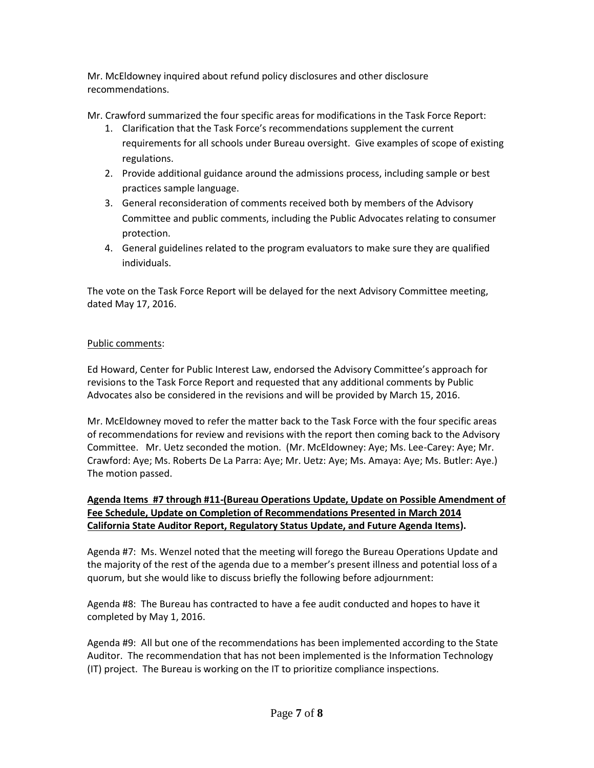Mr. McEldowney inquired about refund policy disclosures and other disclosure recommendations.

Mr. Crawford summarized the four specific areas for modifications in the Task Force Report:

- 1. Clarification that the Task Force's recommendations supplement the current requirements for all schools under Bureau oversight. Give examples of scope of existing regulations.
- 2. Provide additional guidance around the admissions process, including sample or best practices sample language.
- 3. General reconsideration of comments received both by members of the Advisory Committee and public comments, including the Public Advocates relating to consumer protection.
- 4. General guidelines related to the program evaluators to make sure they are qualified individuals.

 dated May 17, 2016. The vote on the Task Force Report will be delayed for the next Advisory Committee meeting,

# Public comments:

Ed Howard, Center for Public Interest Law, endorsed the Advisory Committee's approach for revisions to the Task Force Report and requested that any additional comments by Public Advocates also be considered in the revisions and will be provided by March 15, 2016.

 Committee. Mr. Uetz seconded the motion. (Mr. McEldowney: Aye; Ms. Lee-Carey: Aye; Mr. Mr. McEldowney moved to refer the matter back to the Task Force with the four specific areas of recommendations for review and revisions with the report then coming back to the Advisory Crawford: Aye; Ms. Roberts De La Parra: Aye; Mr. Uetz: Aye; Ms. Amaya: Aye; Ms. Butler: Aye.) The motion passed.

 **Agenda Items #7 through #11-(Bureau Operations Update, Update on Possible Amendment of Fee Schedule, Update on Completion of Recommendations Presented in March 2014 California State Auditor Report, Regulatory Status Update, and Future Agenda Items).** 

 Agenda #7: Ms. Wenzel noted that the meeting will forego the Bureau Operations Update and the majority of the rest of the agenda due to a member's present illness and potential loss of a quorum, but she would like to discuss briefly the following before adjournment:

quorum, but she would like to discuss briefly the following before adjournment:<br>Agenda #8: The Bureau has contracted to have a fee audit conducted and hopes to have it completed by May 1, 2016.

 Agenda #9: All but one of the recommendations has been implemented according to the State Auditor. The recommendation that has not been implemented is the Information Technology (IT) project. The Bureau is working on the IT to prioritize compliance inspections.